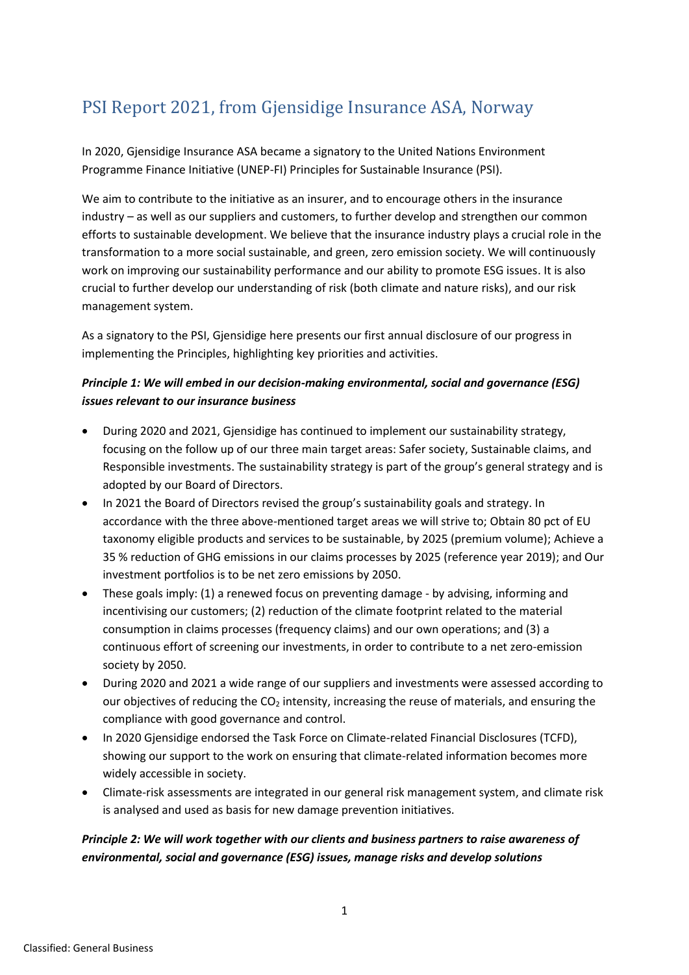# PSI Report 2021, from Gjensidige Insurance ASA, Norway

In 2020, Gjensidige Insurance ASA became a signatory to the United Nations Environment Programme Finance Initiative (UNEP-FI) Principles for Sustainable Insurance (PSI).

We aim to contribute to the initiative as an insurer, and to encourage others in the insurance industry – as well as our suppliers and customers, to further develop and strengthen our common efforts to sustainable development. We believe that the insurance industry plays a crucial role in the transformation to a more social sustainable, and green, zero emission society. We will continuously work on improving our sustainability performance and our ability to promote ESG issues. It is also crucial to further develop our understanding of risk (both climate and nature risks), and our risk management system.

As a signatory to the PSI, Gjensidige here presents our first annual disclosure of our progress in implementing the Principles, highlighting key priorities and activities.

### *Principle 1: We will embed in our decision-making environmental, social and governance (ESG) issues relevant to our insurance business*

- During 2020 and 2021, Gjensidige has continued to implement our sustainability strategy, focusing on the follow up of our three main target areas: Safer society, Sustainable claims, and Responsible investments. The sustainability strategy is part of the group's general strategy and is adopted by our Board of Directors.
- In 2021 the Board of Directors revised the group's sustainability goals and strategy. In accordance with the three above-mentioned target areas we will strive to; Obtain 80 pct of EU taxonomy eligible products and services to be sustainable, by 2025 (premium volume); Achieve a 35 % reduction of GHG emissions in our claims processes by 2025 (reference year 2019); and Our investment portfolios is to be net zero emissions by 2050.
- These goals imply: (1) a renewed focus on preventing damage by advising, informing and incentivising our customers; (2) reduction of the climate footprint related to the material consumption in claims processes (frequency claims) and our own operations; and (3) a continuous effort of screening our investments, in order to contribute to a net zero-emission society by 2050.
- During 2020 and 2021 a wide range of our suppliers and investments were assessed according to our objectives of reducing the  $CO<sub>2</sub>$  intensity, increasing the reuse of materials, and ensuring the compliance with good governance and control.
- In 2020 Gjensidige endorsed the Task Force on Climate-related Financial Disclosures (TCFD), showing our support to the work on ensuring that climate-related information becomes more widely accessible in society.
- Climate-risk assessments are integrated in our general risk management system, and climate risk is analysed and used as basis for new damage prevention initiatives.

### *Principle 2: We will work together with our clients and business partners to raise awareness of environmental, social and governance (ESG) issues, manage risks and develop solutions*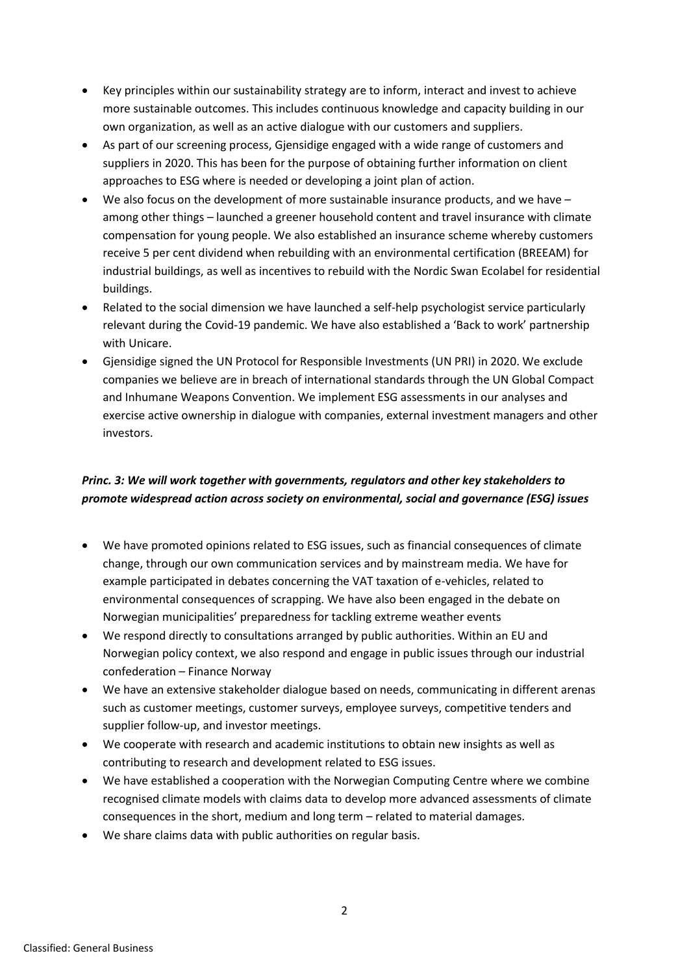- Key principles within our sustainability strategy are to inform, interact and invest to achieve more sustainable outcomes. This includes continuous knowledge and capacity building in our own organization, as well as an active dialogue with our customers and suppliers.
- As part of our screening process, Gjensidige engaged with a wide range of customers and suppliers in 2020. This has been for the purpose of obtaining further information on client approaches to ESG where is needed or developing a joint plan of action.
- We also focus on the development of more sustainable insurance products, and we have  $$ among other things – launched a greener household content and travel insurance with climate compensation for young people. We also established an insurance scheme whereby customers receive 5 per cent dividend when rebuilding with an environmental certification (BREEAM) for industrial buildings, as well as incentives to rebuild with the Nordic Swan Ecolabel for residential buildings.
- Related to the social dimension we have launched a self-help psychologist service particularly relevant during the Covid-19 pandemic. We have also established a 'Back to work' partnership with Unicare.
- Gjensidige signed the UN Protocol for Responsible Investments (UN PRI) in 2020. We exclude companies we believe are in breach of international standards through the UN Global Compact and Inhumane Weapons Convention. We implement ESG assessments in our analyses and exercise active ownership in dialogue with companies, external investment managers and other investors.

## *Princ. 3: We will work together with governments, regulators and other key stakeholders to promote widespread action across society on environmental, social and governance (ESG) issues*

- We have promoted opinions related to ESG issues, such as financial consequences of climate change, through our own communication services and by mainstream media. We have for example participated in debates concerning the VAT taxation of e-vehicles, related to environmental consequences of scrapping. We have also been engaged in the debate on Norwegian municipalities' preparedness for tackling extreme weather events
- We respond directly to consultations arranged by public authorities. Within an EU and Norwegian policy context, we also respond and engage in public issues through our industrial confederation – Finance Norway
- We have an extensive stakeholder dialogue based on needs, communicating in different arenas such as customer meetings, customer surveys, employee surveys, competitive tenders and supplier follow-up, and investor meetings.
- We cooperate with research and academic institutions to obtain new insights as well as contributing to research and development related to ESG issues.
- We have established a cooperation with the Norwegian Computing Centre where we combine recognised climate models with claims data to develop more advanced assessments of climate consequences in the short, medium and long term – related to material damages.
- We share claims data with public authorities on regular basis.